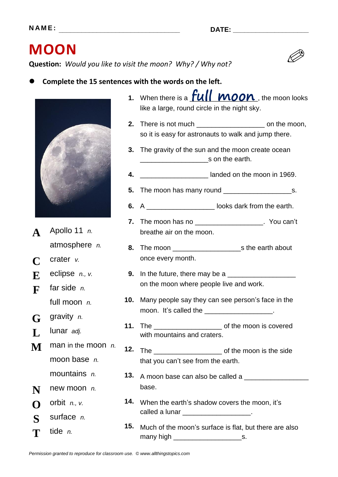## **MOON**

**Question:** *Would you like to visit the moon? Why? / Why not?*

## **Complete the 15 sentences with the words on the left.**



- **A** Apollo 11 *n.* atmosphere *n.*
- **C** crater *v.*
- **E** eclipse *n., v.*
- **F** far side *n.* full moon *n.*
- **G** gravity *n.*
- **L** lunar *adj.*
- **M** man in the moon *n.* moon base *n.*
- mountains *n.*
- **N** new moon *n.*
- $\bigcap$  orbit *n.*, *v.*
- **S** surface *n.* **T** tide *n.*
- 1. When there is a **LUIL WOON**, the moon looks like a large, round circle in the night sky.
- **2.** There is not much \_\_\_\_\_\_\_\_\_\_\_\_\_\_\_\_\_\_ on the moon, so it is easy for astronauts to walk and jump there.
- **3.** The gravity of the sun and the moon create ocean \_\_\_\_\_\_\_\_\_\_\_\_\_\_\_\_\_\_s on the earth.
- **4.** \_\_\_\_\_\_\_\_\_\_\_\_\_\_\_\_\_\_ landed on the moon in 1969.
- **5.** The moon has many round \_\_\_\_\_\_\_\_\_\_\_\_\_\_\_\_\_\_s.
- **6.** A \_\_\_\_\_\_\_\_\_\_\_\_\_\_\_\_\_\_ looks dark from the earth.
- **7.** The moon has no \_\_\_\_\_\_\_\_\_\_\_\_\_\_\_\_\_\_. You can't breathe air on the moon.
- **8.** The moon \_\_\_\_\_\_\_\_\_\_\_\_\_\_\_\_\_\_s the earth about once every month.
- **9.** In the future, there may be a \_\_\_\_\_\_\_\_\_\_\_\_\_\_\_\_\_\_ on the moon where people live and work.
- **10.** Many people say they can see person's face in the moon. It's called the \_\_\_\_\_\_\_\_\_\_\_\_\_\_\_\_\_\_.
- **11.** The \_\_\_\_\_\_\_\_\_\_\_\_\_\_\_\_\_\_ of the moon is covered with mountains and craters.
- **12.** The \_\_\_\_\_\_\_\_\_\_\_\_\_\_\_\_\_\_ of the moon is the side that you can't see from the earth.
- **13.** A moon base can also be called a \_\_\_\_\_\_\_\_\_\_\_\_\_\_\_\_\_ base.
- **14.** When the earth's shadow covers the moon, it's called a lunar example of  $\sim$
- **15.** Much of the moon's surface is flat, but there are also many high \_\_\_\_\_\_\_\_\_\_\_\_\_\_\_\_\_\_s.